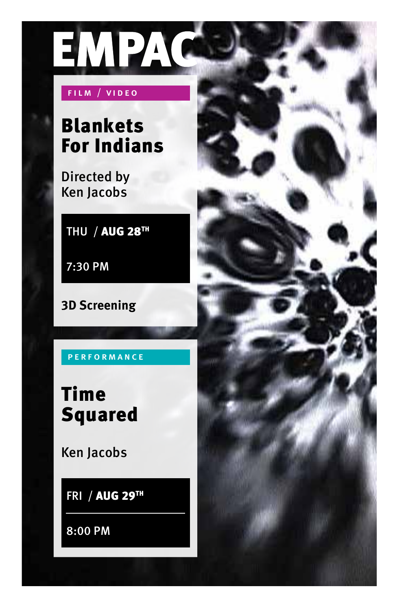

### FILM / VIDEO

# Blankets For Indians

 Directed by Ken Jacobs

THU / AUG 28TH

7:30 PM

**3D Screening** 

P E R F O R M A N C E

Time Squared

Ken Jacobs

FRI / AUG 29TH

8:00 PM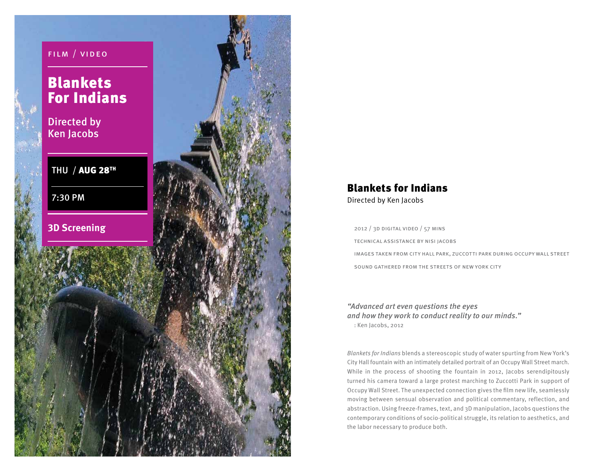

## Blankets for Indians Directed by Ken Jacobs

2012 / 3d digital video / 57 mins technical assistance by nisi jacobs images taken from city hall park, zuccotti park during occupy wall street sound gathered from the streets of new york city

"Advanced art even questions the eyes and how they work to conduct reality to our minds." : Ken Jacobs, 2012

Blankets for Indians blends a stereoscopic study of water spurting from New York's City Hall fountain with an intimately detailed portrait of an Occupy Wall Street march. While in the process of shooting the fountain in 2012, Jacobs serendipitously turned his camera toward a large protest marching to Zuccotti Park in support of Occupy Wall Street. The unexpected connection gives the film new life, seamlessly moving between sensual observation and political commentary, reflection, and abstraction. Using freeze-frames, text, and 3D manipulation, Jacobs questions the contemporary conditions of socio-political struggle, its relation to aesthetics, and the labor necessary to produce both.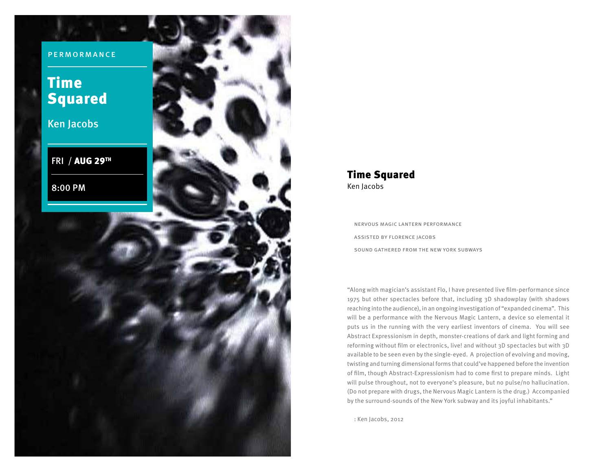permormance

# Time Squared

Ken Jacobs

FRI / AUG 29TH

8:00 PM

#### Time Squared Ken Jacobs

nervous magic lantern performance assisted by florence jacobs sound gathered from the new york subways

reaching into the audience), in an ongoing investigation of "expanded cinema". This "Along with magician's assistant Flo, I have presented live film-performance since 1975 but other spectacles before that, including 3D shadowplay (with shadows will be a performance with the Nervous Magic Lantern, a device so elemental it puts us in the running with the very earliest inventors of cinema. You will see Abstract Expressionism in depth, monster-creations of dark and light forming and reforming without film or electronics, live! and without 3D spectacles but with 3D available to be seen even by the single-eyed. A projection of evolving and moving, twisting and turning dimensional forms that could've happened before the invention of film, though Abstract-Expressionism had to come first to prepare minds. Light will pulse throughout, not to everyone's pleasure, but no pulse/no hallucination. (Do not prepare with drugs, the Nervous Magic Lantern is the drug.) Accompanied by the surround-sounds of the New York subway and its joyful inhabitants."

: Ken Jacobs, 2012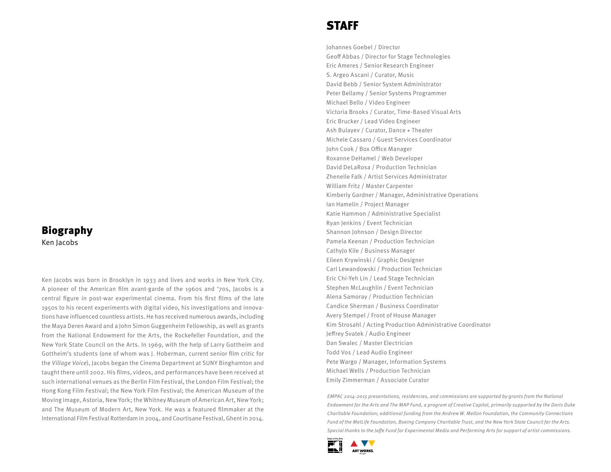## Biography

Ken Jacobs

Ken Jacobs was born in Brooklyn in 1933 and lives and works in New York City. A pioneer of the American film avant-garde of the 1960s and '70s, Jacobs is a central figure in post-war experimental cinema. From his first films of the late 1950s to his recent experiments with digital video, his investigations and innovations have influenced countless artists. He has received numerous awards, including the Maya Deren Award and a John Simon Guggenheim Fellowship, as well as grants from the National Endowment for the Arts, the Rockefeller Foundation, and the New York State Council on the Arts. In 1969, with the help of Larry Gottheim and Gottheim's students (one of whom was J. Hoberman, current senior film critic for the Village Voice), Jacobs began the Cinema Department at SUNY Binghamton and taught there until 2002. His films, videos, and performances have been received at such international venues as the Berlin Film Festival, the London Film Festival; the Hong Kong Film Festival; the New York Film Festival; the American Museum of the Moving Image, Astoria, New York; the Whitney Museum of American Art, New York; and The Museum of Modern Art, New York. He was a featured filmmaker at the International Film Festival Rotterdam in 2004, and Courtisane Festival, Ghent in 2014.

## STAFF

Johannes Goebel / Director Geoff Abbas / Director for Stage Technologies Eric Ameres / Senior Research Engineer S. Argeo Ascani / Curator, Music David Bebb / Senior System Administrator Peter Bellamy / Senior Systems Programmer Michael Bello / Video Engineer Victoria Brooks / Curator, Time-Based Visual Arts Eric Brucker / Lead Video Engineer Ash Bulayev / Curator, Dance + Theater Michele Cassaro / Guest Services Coordinator John Cook / Box Office Manager Roxanne DeHamel / Web Developer David DeLaRosa / Production Technician Zhenelle Falk / Artist Services Administrator William Fritz / Master Carpenter Kimberly Gardner / Manager, Administrative Operations Ian Hamelin / Project Manager Katie Hammon / Administrative Specialist Ryan Jenkins / Event Technician Shannon Johnson / Design Director Pamela Keenan / Production Technician CathyJo Kile / Business Manager Eileen Krywinski / Graphic Designer Carl Lewandowski / Production Technician Eric Chi-Yeh Lin / Lead Stage Technician Stephen McLaughlin / Event Technician Alena Samoray / Production Technician Candice Sherman / Business Coordinator Avery Stempel / Front of House Manager Kim Strosahl / Acting Production Administrative Coordinator Jefrey Svatek / Audio Engineer Dan Swalec / Master Electrician Todd Vos / Lead Audio Engineer Pete Wargo / Manager, Information Systems Michael Wells / Production Technician Emily Zimmerman / Associate Curator

EMPAC 2014-2015 presentations, residencies, and commissions are supported by grants from the National Endowment for the Arts and The MAP Fund, a program of Creative Capital, primarily supported by the Doris Duke Charitable Foundation; additional funding from the Andrew W. Mellon Foundation, the Community Connections Fund of the MetLife Foundation, Boeing Company Charitable Trust, and the New York State Council for the Arts. Special thanks to the Jafe Fund for Experimental Media and Performing Arts for support of artist commissions.